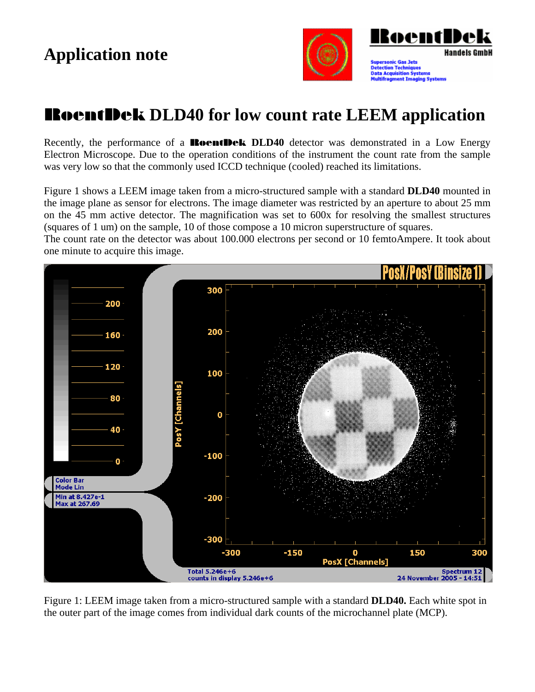

## RoentDek **DLD40 for low count rate LEEM application**

Recently, the performance of a **RoentDek DLD40** detector was demonstrated in a Low Energy Electron Microscope. Due to the operation conditions of the instrument the count rate from the sample was very low so that the commonly used ICCD technique (cooled) reached its limitations.

Figure 1 shows a LEEM image taken from a micro-structured sample with a standard **DLD40** mounted in the image plane as sensor for electrons. The image diameter was restricted by an aperture to about 25 mm on the 45 mm active detector. The magnification was set to 600x for resolving the smallest structures (squares of 1 um) on the sample, 10 of those compose a 10 micron superstructure of squares.

The count rate on the detector was about 100.000 electrons per second or 10 femtoAmpere. It took about one minute to acquire this image.



Figure 1: LEEM image taken from a micro-structured sample with a standard **DLD40.** Each white spot in the outer part of the image comes from individual dark counts of the microchannel plate (MCP).